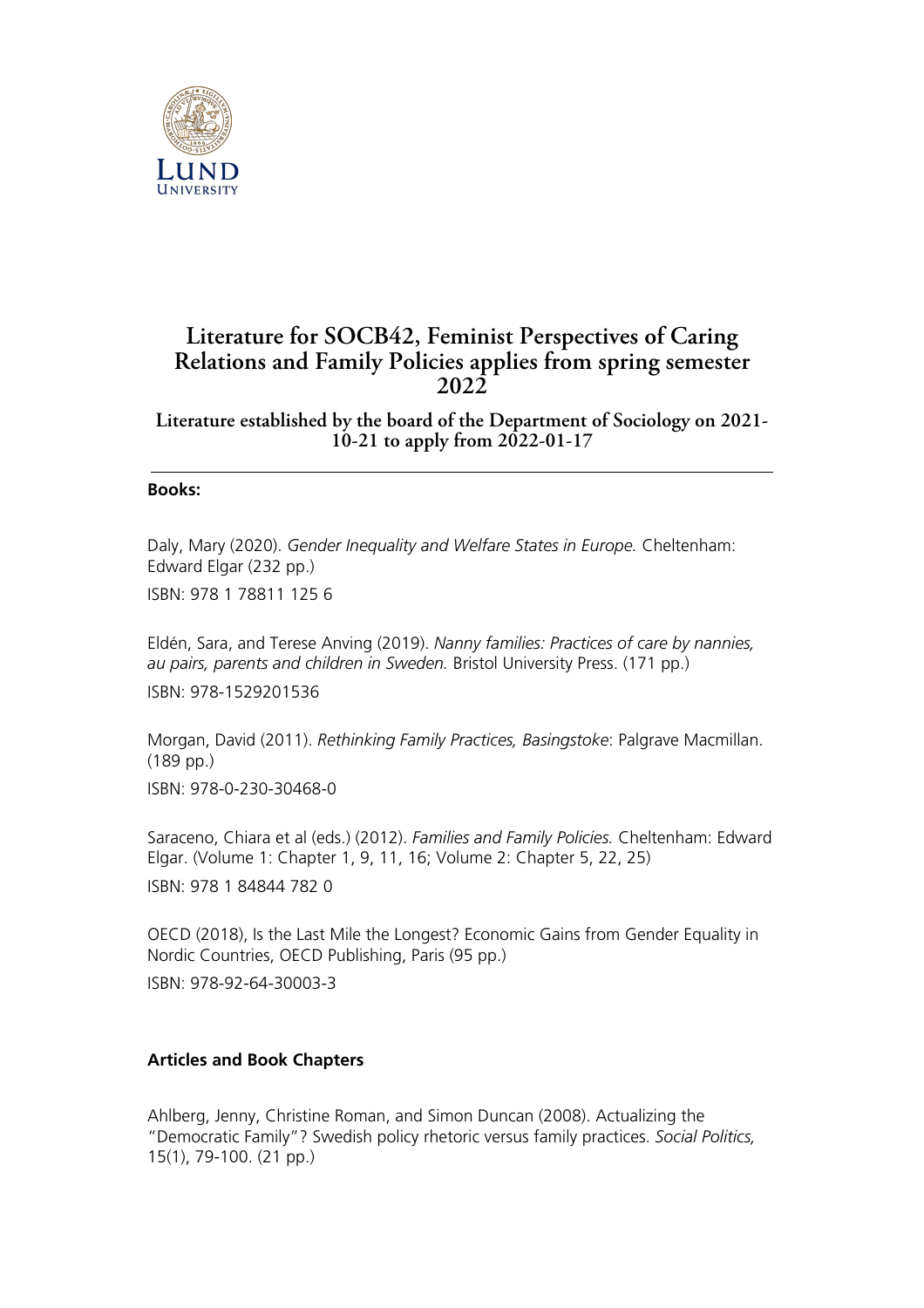

## **Literature for SOCB42, Feminist Perspectives of Caring Relations and Family Policies applies from spring semester 2022**

**Literature established by the board of the Department of Sociology on 2021- 10-21 to apply from 2022-01-17**

## **Books:**

Daly, Mary (2020). *Gender Inequality and Welfare States in Europe.* Cheltenham: Edward Elgar (232 pp.)

ISBN: 978 1 78811 125 6

Eldén, Sara, and Terese Anving (2019). *Nanny families: Practices of care by nannies, au pairs, parents and children in Sweden.* Bristol University Press. (171 pp.) ISBN: 978-1529201536

Morgan, David (2011). *Rethinking Family Practices, Basingstoke*: Palgrave Macmillan. (189 pp.) ISBN: 978-0-230-30468-0

Saraceno, Chiara et al (eds.) (2012). *Families and Family Policies.* Cheltenham: Edward Elgar. (Volume 1: Chapter 1, 9, 11, 16; Volume 2: Chapter 5, 22, 25) ISBN: 978 1 84844 782 0

OECD (2018), Is the Last Mile the Longest? Economic Gains from Gender Equality in Nordic Countries, OECD Publishing, Paris (95 pp.)

ISBN: 978-92-64-30003-3

## **Articles and Book Chapters**

Ahlberg, Jenny, Christine Roman, and Simon Duncan (2008). Actualizing the "Democratic Family"? Swedish policy rhetoric versus family practices. *Social Politics,* 15(1), 79-100. (21 pp.)